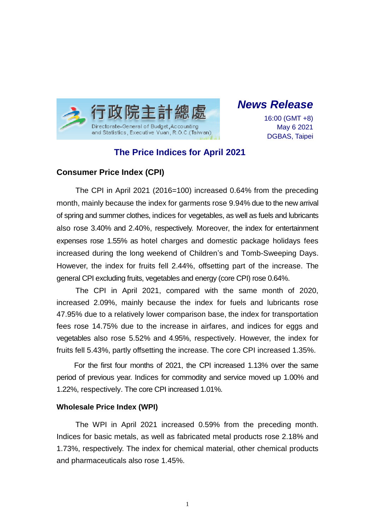

*News Release*

16:00 (GMT +8) May 6 2021 DGBAS, Taipei

# **The Price Indices for April 2021**

## **Consumer Price Index (CPI)**

The CPI in April 2021 (2016=100) increased 0.64% from the preceding month, mainly because the index for garments rose 9.94% due to the new arrival of spring and summer clothes, indices for vegetables, as well as fuels and lubricants also rose 3.40% and 2.40%, respectively. Moreover, the index for entertainment expenses rose 1.55% as hotel charges and domestic package holidays fees increased during the long weekend of Children's and Tomb-Sweeping Days. However, the index for fruits fell 2.44%, offsetting part of the increase. The general CPI excluding fruits, vegetables and energy (core CPI) rose 0.64%.

The CPI in April 2021, compared with the same month of 2020, increased 2.09%, mainly because the index for fuels and lubricants rose 47.95% due to a relatively lower comparison base, the index for transportation fees rose 14.75% due to the increase in airfares, and indices for eggs and vegetables also rose 5.52% and 4.95%, respectively. However, the index for fruits fell 5.43%, partly offsetting the increase. The core CPI increased 1.35%.

For the first four months of 2021, the CPI increased 1.13% over the same period of previous year. Indices for commodity and service moved up 1.00% and 1.22%, respectively. The core CPI increased 1.01%.

#### **Wholesale Price Index (WPI)**

The WPI in April 2021 increased 0.59% from the preceding month. Indices for basic metals, as well as fabricated metal products rose 2.18% and 1.73%, respectively. The index for chemical material, other chemical products and pharmaceuticals also rose 1.45%.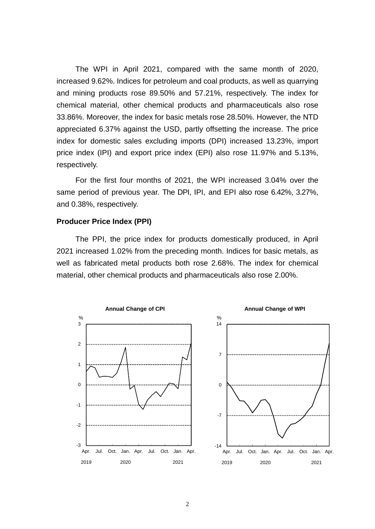The WPI in April 2021, compared with the same month of 2020, increased 9.62%. Indices for petroleum and coal products, as well as quarrying and mining products rose 89.50% and 57.21%, respectively. The index for chemical material, other chemical products and pharmaceuticals also rose 33.86%. Moreover, the index for basic metals rose 28.50%. However, the NTD appreciated 6.37% against the USD, partly offsetting the increase. The price index for domestic sales excluding imports (DPI) increased 13.23%, import price index (IPI) and export price index (EPI) also rose 11.97% and 5.13%, respectively.

For the first four months of 2021, the WPI increased 3.04% over the same period of previous year. The DPI, IPI, and EPI also rose 6.42%, 3.27%, and 0.38%, respectively.

#### **Producer Price Index (PPI)**

The PPI, the price index for products domestically produced, in April 2021 increased 1.02% from the preceding month. Indices for basic metals, as well as fabricated metal products both rose 2.68%. The index for chemical material, other chemical products and pharmaceuticals also rose 2.00%.